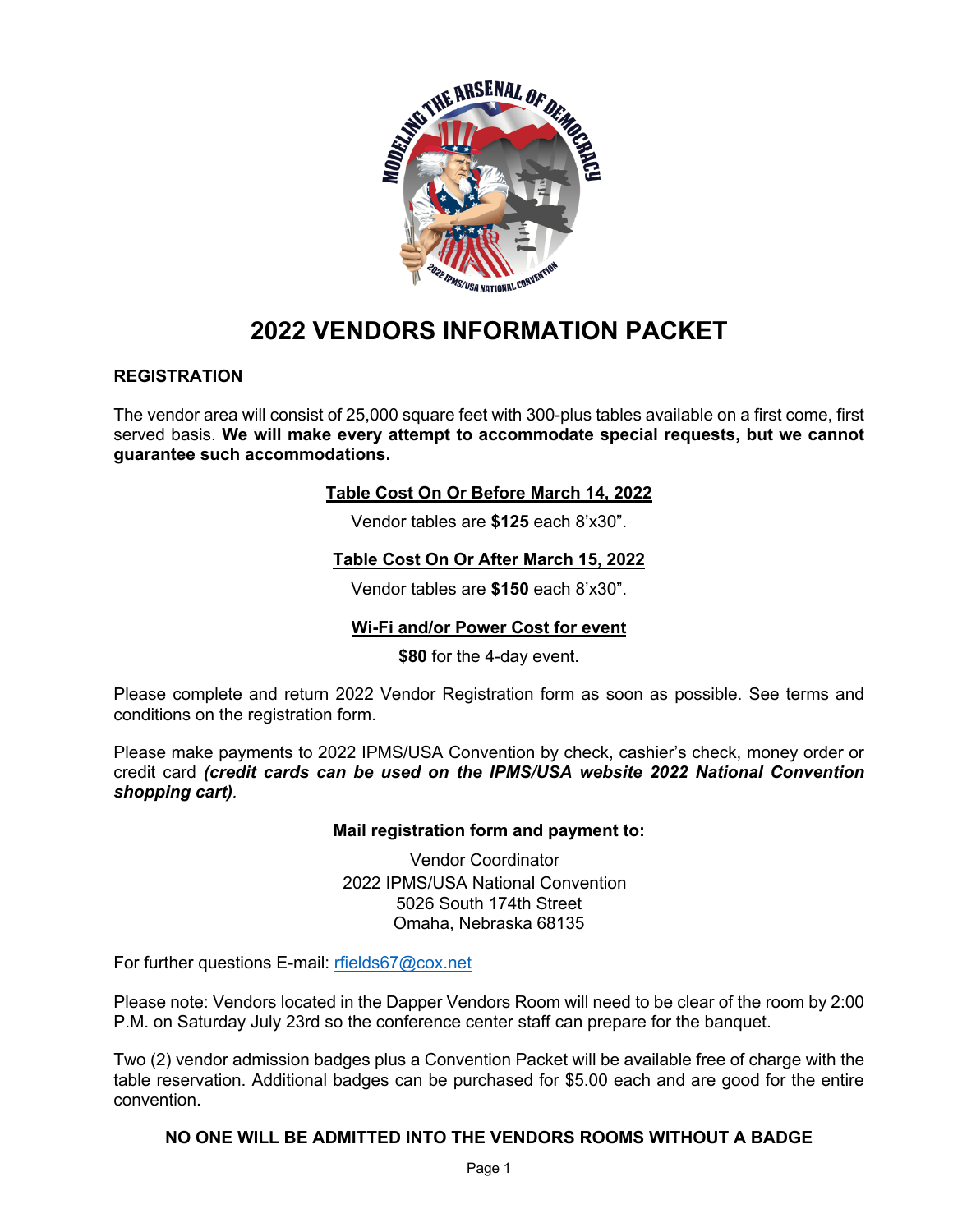

# **2022 VENDORS INFORMATION PACKET**

## **REGISTRATION**

The vendor area will consist of 25,000 square feet with 300-plus tables available on a first come, first served basis. **We will make every attempt to accommodate special requests, but we cannot guarantee such accommodations.** 

## **Table Cost On Or Before March 14, 2022**

Vendor tables are **\$125** each 8'x30".

## **Table Cost On Or After March 15, 2022**

Vendor tables are **\$150** each 8'x30".

## **Wi-Fi and/or Power Cost for event**

**\$80** for the 4-day event.

Please complete and return 2022 Vendor Registration form as soon as possible. See terms and conditions on the registration form.

Please make payments to 2022 IPMS/USA Convention by check, cashier's check, money order or credit card *(credit cards can be used on the IPMS/USA website 2022 National Convention shopping cart).*

## **Mail registration form and payment to:**

Vendor Coordinator 2022 IPMS/USA National Convention 5026 South 174th Street Omaha, Nebraska 68135

For further questions E-mail: rfields67@cox.net

Please note: Vendors located in the Dapper Vendors Room will need to be clear of the room by 2:00 P.M. on Saturday July 23rd so the conference center staff can prepare for the banquet.

Two (2) vendor admission badges plus a Convention Packet will be available free of charge with the table reservation. Additional badges can be purchased for \$5.00 each and are good for the entire convention.

## **NO ONE WILL BE ADMITTED INTO THE VENDORS ROOMS WITHOUT A BADGE**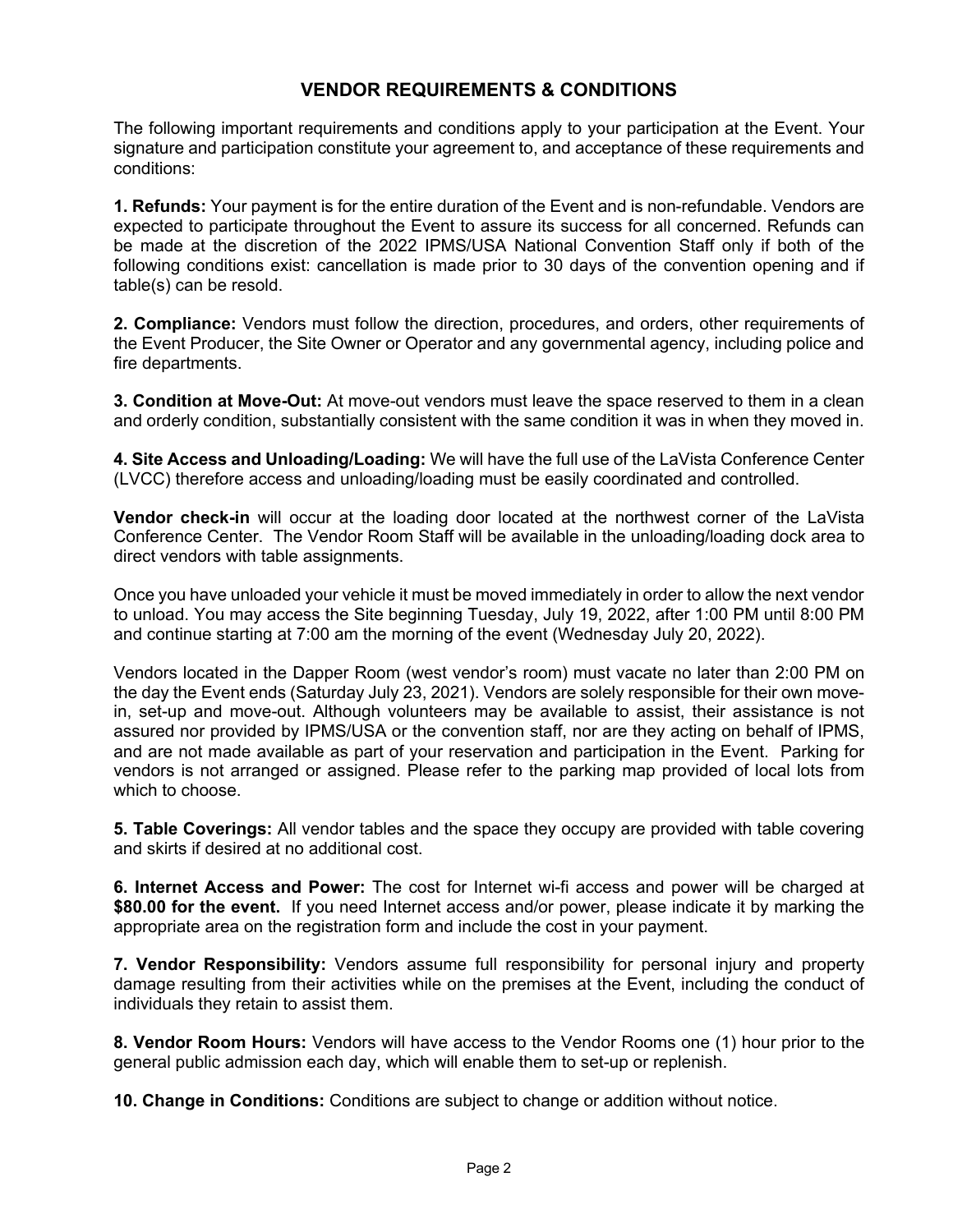## **VENDOR REQUIREMENTS & CONDITIONS**

The following important requirements and conditions apply to your participation at the Event. Your signature and participation constitute your agreement to, and acceptance of these requirements and conditions:

**1. Refunds:** Your payment is for the entire duration of the Event and is non-refundable. Vendors are expected to participate throughout the Event to assure its success for all concerned. Refunds can be made at the discretion of the 2022 IPMS/USA National Convention Staff only if both of the following conditions exist: cancellation is made prior to 30 days of the convention opening and if table(s) can be resold.

**2. Compliance:** Vendors must follow the direction, procedures, and orders, other requirements of the Event Producer, the Site Owner or Operator and any governmental agency, including police and fire departments.

**3. Condition at Move-Out:** At move-out vendors must leave the space reserved to them in a clean and orderly condition, substantially consistent with the same condition it was in when they moved in.

**4. Site Access and Unloading/Loading:** We will have the full use of the LaVista Conference Center (LVCC) therefore access and unloading/loading must be easily coordinated and controlled.

**Vendor check-in** will occur at the loading door located at the northwest corner of the LaVista Conference Center. The Vendor Room Staff will be available in the unloading/loading dock area to direct vendors with table assignments.

Once you have unloaded your vehicle it must be moved immediately in order to allow the next vendor to unload. You may access the Site beginning Tuesday, July 19, 2022, after 1:00 PM until 8:00 PM and continue starting at 7:00 am the morning of the event (Wednesday July 20, 2022).

Vendors located in the Dapper Room (west vendor's room) must vacate no later than 2:00 PM on the day the Event ends (Saturday July 23, 2021). Vendors are solely responsible for their own movein, set-up and move-out. Although volunteers may be available to assist, their assistance is not assured nor provided by IPMS/USA or the convention staff, nor are they acting on behalf of IPMS, and are not made available as part of your reservation and participation in the Event. Parking for vendors is not arranged or assigned. Please refer to the parking map provided of local lots from which to choose.

**5. Table Coverings:** All vendor tables and the space they occupy are provided with table covering and skirts if desired at no additional cost.

**6. Internet Access and Power:** The cost for Internet wi-fi access and power will be charged at **\$80.00 for the event.** If you need Internet access and/or power, please indicate it by marking the appropriate area on the registration form and include the cost in your payment.

**7. Vendor Responsibility:** Vendors assume full responsibility for personal injury and property damage resulting from their activities while on the premises at the Event, including the conduct of individuals they retain to assist them.

**8. Vendor Room Hours:** Vendors will have access to the Vendor Rooms one (1) hour prior to the general public admission each day, which will enable them to set-up or replenish.

**10. Change in Conditions:** Conditions are subject to change or addition without notice.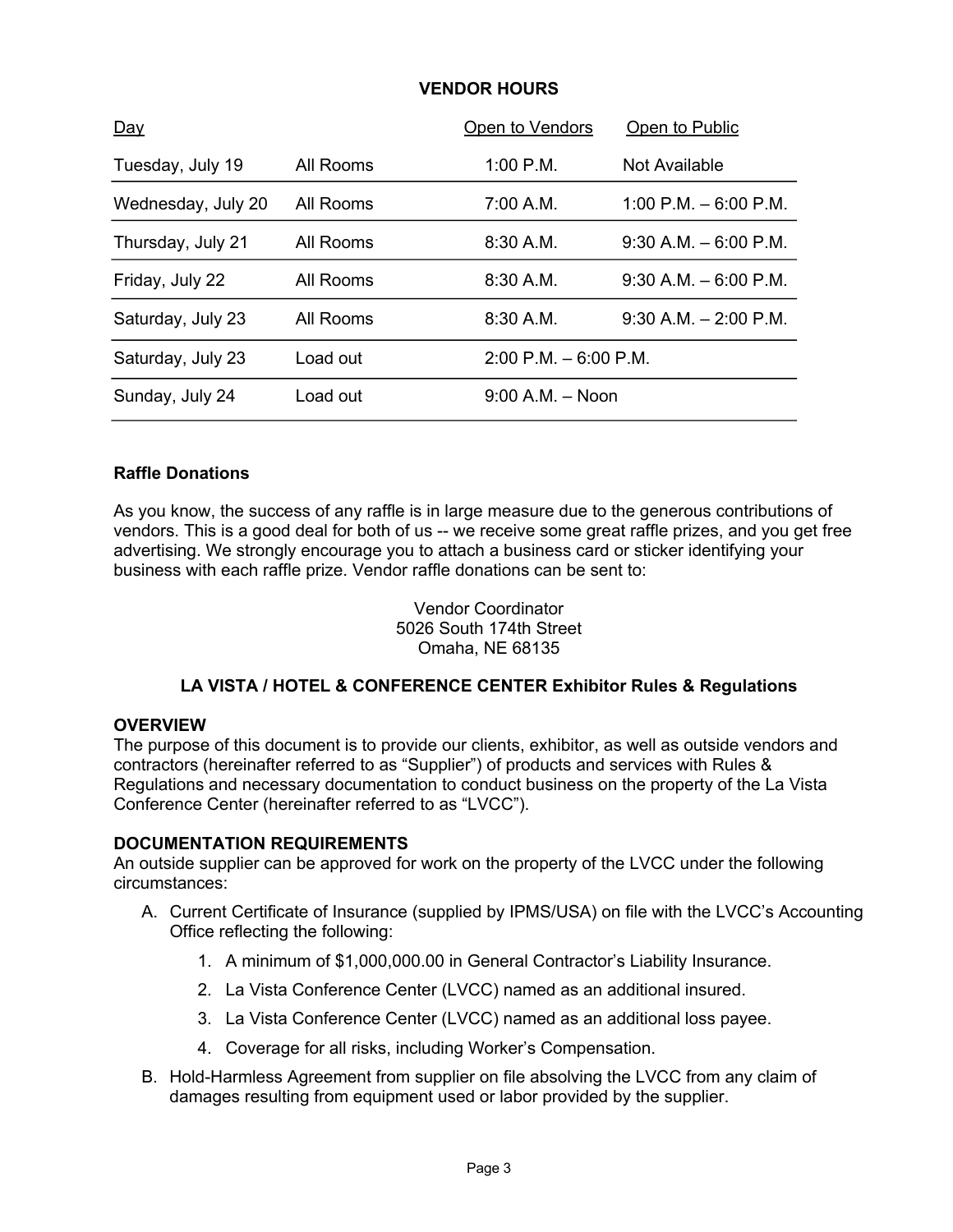## **VENDOR HOURS**

| <u>Day</u>         |           | Open to Vendors                         | Open to Public         |  |
|--------------------|-----------|-----------------------------------------|------------------------|--|
| Tuesday, July 19   | All Rooms | $1:00$ P.M.                             | Not Available          |  |
| Wednesday, July 20 | All Rooms | 7:00 A.M.                               | 1:00 P.M. $-6:00$ P.M. |  |
| Thursday, July 21  | All Rooms | $8:30$ A.M.                             | $9:30$ A M $-6:00$ P M |  |
| Friday, July 22    | All Rooms | $8:30$ A.M.                             | $9:30$ A M $-6:00$ P M |  |
| Saturday, July 23  | All Rooms | 8:30 A.M.                               | $9:30$ A M $-2:00$ P M |  |
| Saturday, July 23  | Load out  | $2:00 \text{ P.M.} - 6:00 \text{ P.M.}$ |                        |  |
| Sunday, July 24    | Load out  | $9:00$ A.M. $-$ Noon                    |                        |  |

## **Raffle Donations**

As you know, the success of any raffle is in large measure due to the generous contributions of vendors. This is a good deal for both of us -- we receive some great raffle prizes, and you get free advertising. We strongly encourage you to attach a business card or sticker identifying your business with each raffle prize. Vendor raffle donations can be sent to:

> Vendor Coordinator 5026 South 174th Street Omaha, NE 68135

## **LA VISTA / HOTEL & CONFERENCE CENTER Exhibitor Rules & Regulations**

#### **OVERVIEW**

The purpose of this document is to provide our clients, exhibitor, as well as outside vendors and contractors (hereinafter referred to as "Supplier") of products and services with Rules & Regulations and necessary documentation to conduct business on the property of the La Vista Conference Center (hereinafter referred to as "LVCC").

#### **DOCUMENTATION REQUIREMENTS**

An outside supplier can be approved for work on the property of the LVCC under the following circumstances:

- A. Current Certificate of Insurance (supplied by IPMS/USA) on file with the LVCC's Accounting Office reflecting the following:
	- 1. A minimum of \$1,000,000.00 in General Contractor's Liability Insurance.
	- 2. La Vista Conference Center (LVCC) named as an additional insured.
	- 3. La Vista Conference Center (LVCC) named as an additional loss payee.
	- 4. Coverage for all risks, including Worker's Compensation.
- B. Hold-Harmless Agreement from supplier on file absolving the LVCC from any claim of damages resulting from equipment used or labor provided by the supplier.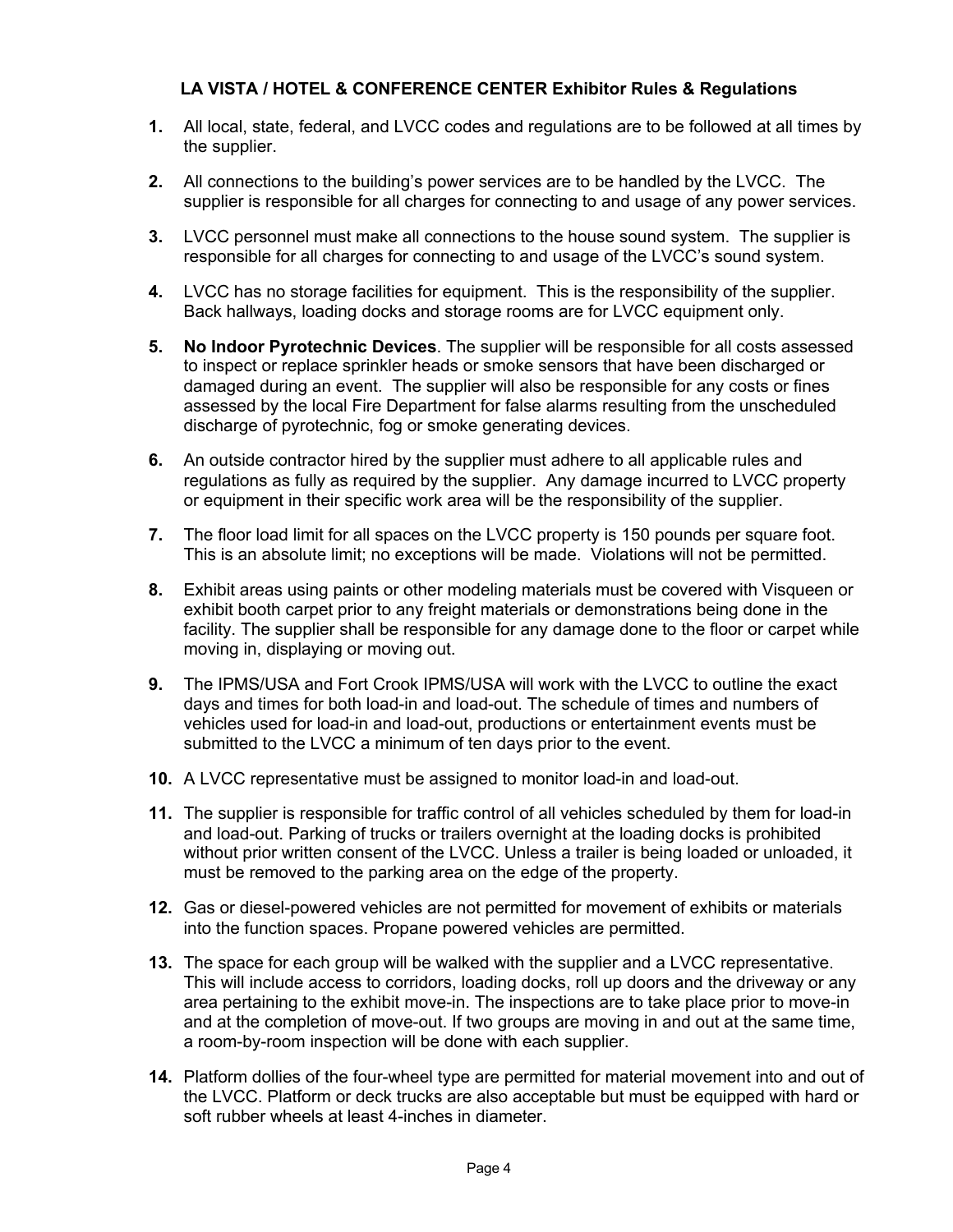## **LA VISTA / HOTEL & CONFERENCE CENTER Exhibitor Rules & Regulations**

- **1.** All local, state, federal, and LVCC codes and regulations are to be followed at all times by the supplier.
- **2.** All connections to the building's power services are to be handled by the LVCC. The supplier is responsible for all charges for connecting to and usage of any power services.
- **3.** LVCC personnel must make all connections to the house sound system. The supplier is responsible for all charges for connecting to and usage of the LVCC's sound system.
- **4.** LVCC has no storage facilities for equipment. This is the responsibility of the supplier. Back hallways, loading docks and storage rooms are for LVCC equipment only.
- **5. No Indoor Pyrotechnic Devices**. The supplier will be responsible for all costs assessed to inspect or replace sprinkler heads or smoke sensors that have been discharged or damaged during an event. The supplier will also be responsible for any costs or fines assessed by the local Fire Department for false alarms resulting from the unscheduled discharge of pyrotechnic, fog or smoke generating devices.
- **6.** An outside contractor hired by the supplier must adhere to all applicable rules and regulations as fully as required by the supplier. Any damage incurred to LVCC property or equipment in their specific work area will be the responsibility of the supplier.
- **7.** The floor load limit for all spaces on the LVCC property is 150 pounds per square foot. This is an absolute limit; no exceptions will be made. Violations will not be permitted.
- **8.** Exhibit areas using paints or other modeling materials must be covered with Visqueen or exhibit booth carpet prior to any freight materials or demonstrations being done in the facility. The supplier shall be responsible for any damage done to the floor or carpet while moving in, displaying or moving out.
- **9.** The IPMS/USA and Fort Crook IPMS/USA will work with the LVCC to outline the exact days and times for both load-in and load-out. The schedule of times and numbers of vehicles used for load-in and load-out, productions or entertainment events must be submitted to the LVCC a minimum of ten days prior to the event.
- **10.** A LVCC representative must be assigned to monitor load-in and load-out.
- **11.** The supplier is responsible for traffic control of all vehicles scheduled by them for load-in and load-out. Parking of trucks or trailers overnight at the loading docks is prohibited without prior written consent of the LVCC. Unless a trailer is being loaded or unloaded, it must be removed to the parking area on the edge of the property.
- **12.** Gas or diesel-powered vehicles are not permitted for movement of exhibits or materials into the function spaces. Propane powered vehicles are permitted.
- **13.** The space for each group will be walked with the supplier and a LVCC representative. This will include access to corridors, loading docks, roll up doors and the driveway or any area pertaining to the exhibit move-in. The inspections are to take place prior to move-in and at the completion of move-out. If two groups are moving in and out at the same time, a room-by-room inspection will be done with each supplier.
- **14.** Platform dollies of the four-wheel type are permitted for material movement into and out of the LVCC. Platform or deck trucks are also acceptable but must be equipped with hard or soft rubber wheels at least 4-inches in diameter.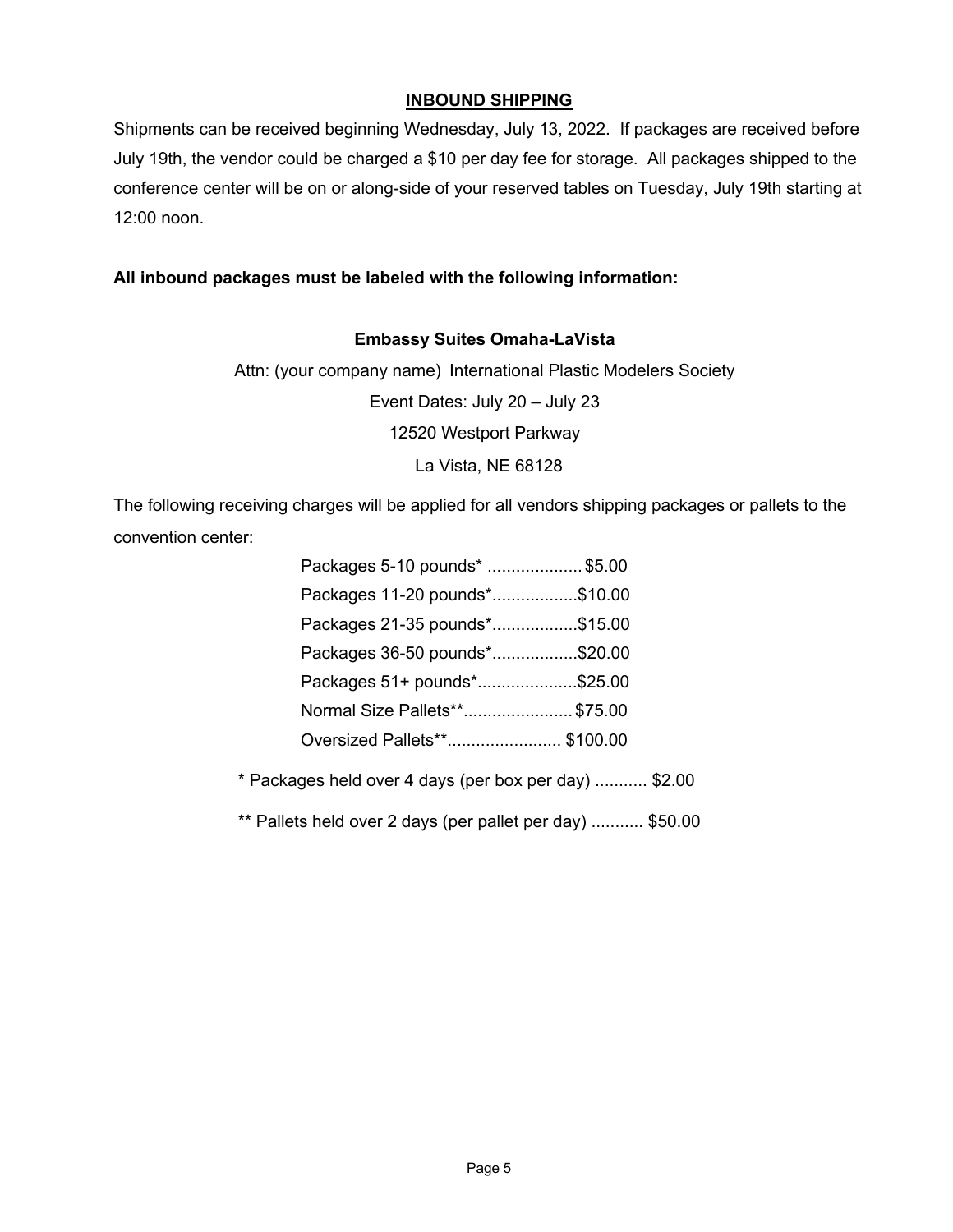## **INBOUND SHIPPING**

Shipments can be received beginning Wednesday, July 13, 2022. If packages are received before July 19th, the vendor could be charged a \$10 per day fee for storage. All packages shipped to the conference center will be on or along-side of your reserved tables on Tuesday, July 19th starting at 12:00 noon.

## **All inbound packages must be labeled with the following information:**

## **Embassy Suites Omaha-LaVista**

Attn: (your company name) International Plastic Modelers Society

Event Dates: July 20 – July 23

12520 Westport Parkway

La Vista, NE 68128

The following receiving charges will be applied for all vendors shipping packages or pallets to the convention center:

| Packages 5-10 pounds* \$5.00  |  |
|-------------------------------|--|
| Packages 11-20 pounds*\$10.00 |  |
| Packages 21-35 pounds*\$15.00 |  |
| Packages 36-50 pounds*\$20.00 |  |
| Packages 51+ pounds*\$25.00   |  |
| Normal Size Pallets**\$75.00  |  |
| Oversized Pallets**\$100.00   |  |

\* Packages held over 4 days (per box per day) ........... \$2.00

\*\* Pallets held over 2 days (per pallet per day) ........... \$50.00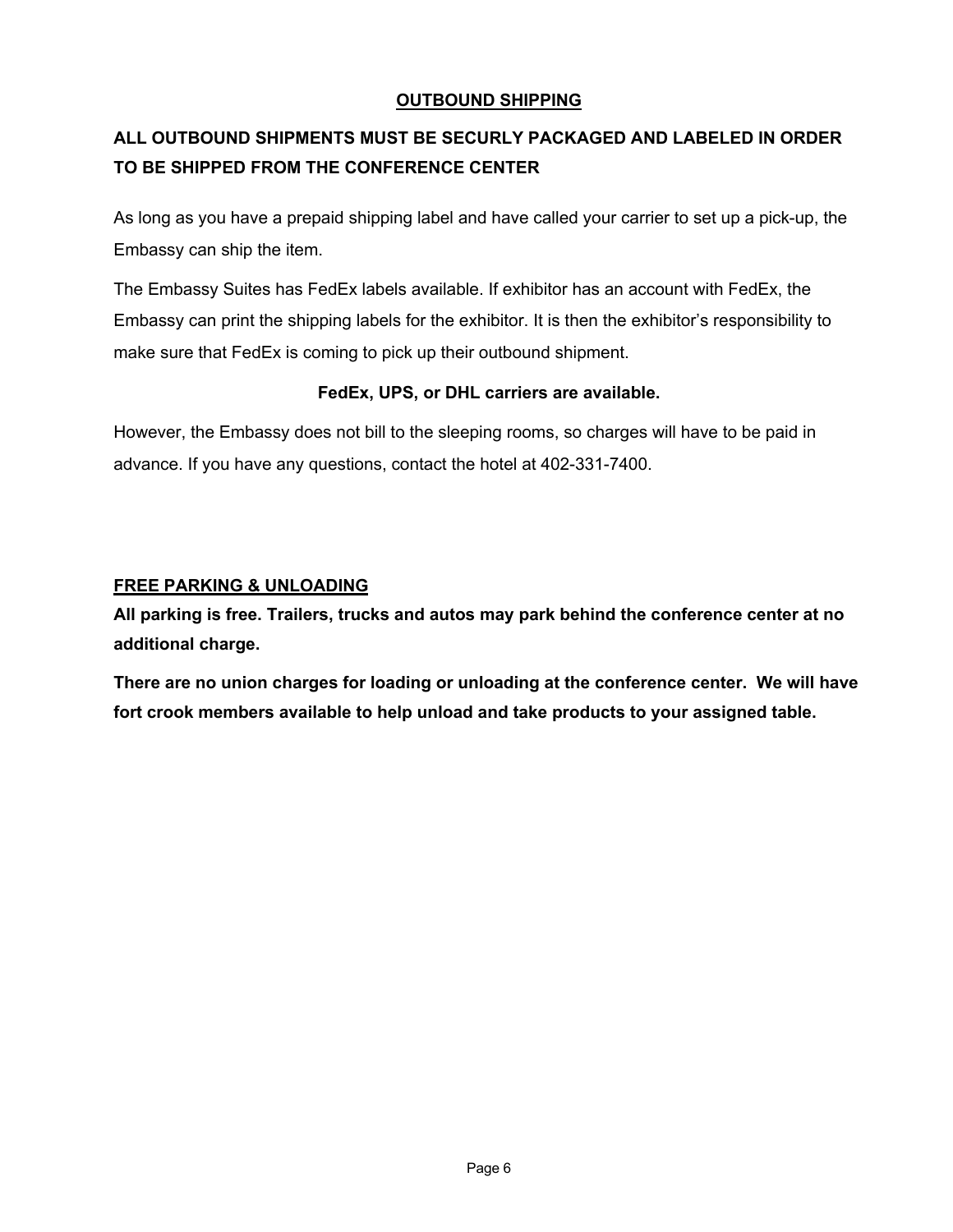## **OUTBOUND SHIPPING**

## **ALL OUTBOUND SHIPMENTS MUST BE SECURLY PACKAGED AND LABELED IN ORDER TO BE SHIPPED FROM THE CONFERENCE CENTER**

As long as you have a prepaid shipping label and have called your carrier to set up a pick-up, the Embassy can ship the item.

The Embassy Suites has FedEx labels available. If exhibitor has an account with FedEx, the Embassy can print the shipping labels for the exhibitor. It is then the exhibitor's responsibility to make sure that FedEx is coming to pick up their outbound shipment.

## **FedEx, UPS, or DHL carriers are available.**

However, the Embassy does not bill to the sleeping rooms, so charges will have to be paid in advance. If you have any questions, contact the hotel at 402-331-7400.

## **FREE PARKING & UNLOADING**

**All parking is free. Trailers, trucks and autos may park behind the conference center at no additional charge.** 

**There are no union charges for loading or unloading at the conference center. We will have fort crook members available to help unload and take products to your assigned table.**